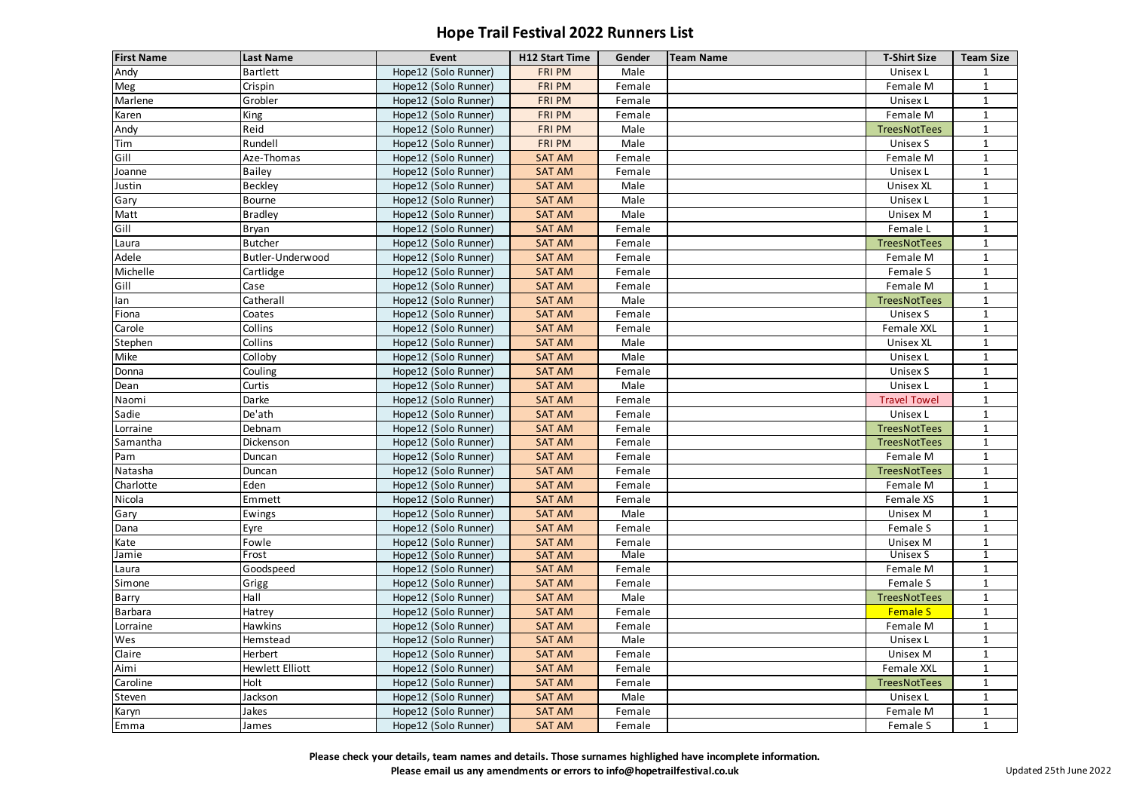| <b>First Name</b> | <b>Last Name</b>       | Event                | <b>H12 Start Time</b> | Gender      | <b>Team Name</b> | <b>T-Shirt Size</b> | <b>Team Size</b> |
|-------------------|------------------------|----------------------|-----------------------|-------------|------------------|---------------------|------------------|
| Andy              | <b>Bartlett</b>        | Hope12 (Solo Runner) | <b>FRI PM</b>         | Male        |                  | Unisex L            |                  |
| Meg               | Crispin                | Hope12 (Solo Runner) | <b>FRI PM</b>         | Female      |                  | Female M            | $\mathbf{1}$     |
| Marlene           | Grobler                | Hope12 (Solo Runner) | <b>FRI PM</b>         | Female      |                  | Unisex L            | $\mathbf{1}$     |
| Karen             | <b>King</b>            | Hope12 (Solo Runner) | <b>FRI PM</b>         | Female      |                  | Female M            |                  |
| Andy              | Reid                   | Hope12 (Solo Runner) | <b>FRI PM</b>         | Male        |                  | TreesNotTees        | $\mathbf{1}$     |
| Tim               | Rundell                | Hope12 (Solo Runner) | <b>FRI PM</b>         | Male        |                  | Unisex S            | $\mathbf{1}$     |
| Gill              | Aze-Thomas             | Hope12 (Solo Runner) | <b>SAT AM</b>         | Female      |                  | Female M            | $\mathbf{1}$     |
| Joanne            | <b>Bailey</b>          | Hope12 (Solo Runner) | <b>SAT AM</b>         | Female      |                  | Unisex L            | 1                |
| Justin            | Beckley                | Hope12 (Solo Runner) | <b>SAT AM</b>         | Male        |                  | <b>Unisex XL</b>    | $\mathbf{1}$     |
| Gary              | Bourne                 | Hope12 (Solo Runner) | <b>SAT AM</b>         | Male        |                  | Unisex L            | 1                |
| Matt              | <b>Bradley</b>         | Hope12 (Solo Runner) | <b>SAT AM</b>         | Male        |                  | Unisex M            |                  |
| Gill              | Bryan                  | Hope12 (Solo Runner) | <b>SAT AM</b>         | Female      |                  | Female L            |                  |
| Laura             | <b>Butcher</b>         | Hope12 (Solo Runner) | <b>SAT AM</b>         | Female      |                  | TreesNotTees        | $\mathbf{1}$     |
| Adele             | Butler-Underwood       | Hope12 (Solo Runner) | <b>SAT AM</b>         | Female      |                  | Female M            | 1                |
| Michelle          | Cartlidge              | Hope12 (Solo Runner) | <b>SAT AM</b>         | Female      |                  | Female S            |                  |
| Gill              | Case                   | Hope12 (Solo Runner) | <b>SAT AM</b>         | Female      |                  | Female M            |                  |
| lan               | Catherall              | Hope12 (Solo Runner) | <b>SAT AM</b>         | Male        |                  | TreesNotTees        | 1                |
| Fiona             | Coates                 | Hope12 (Solo Runner) | <b>SAT AM</b>         | Female      |                  | Unisex S            | 1                |
| Carole            | Collins                | Hope12 (Solo Runner) | <b>SAT AM</b>         | Female      |                  | <b>Female XXL</b>   |                  |
| Stephen           | Collins                | Hope12 (Solo Runner) | <b>SAT AM</b>         | Male        |                  | <b>Unisex XL</b>    |                  |
| Mike              | Colloby                | Hope12 (Solo Runner) | <b>SAT AM</b>         | Male        |                  | Unisex L            | $\mathbf 1$      |
| Donna             | Couling                | Hope12 (Solo Runner) | <b>SAT AM</b>         | Female      |                  | Unisex S            | 1                |
| Dean              | Curtis                 | Hope12 (Solo Runner) | <b>SAT AM</b>         | Male        |                  | Unisex L            |                  |
| Naomi             | Darke                  | Hope12 (Solo Runner) | <b>SAT AM</b>         | Female      |                  | <b>Travel Towel</b> | $\mathbf{1}$     |
| Sadie             | De'ath                 | Hope12 (Solo Runner) | <b>SAT AM</b>         | Female      |                  | Unisex L            | $\mathbf{1}$     |
| Lorraine          | Debnam                 | Hope12 (Solo Runner) | <b>SAT AM</b>         | Female      |                  | <b>TreesNotTees</b> | $\mathbf{1}$     |
| Samantha          | Dickenson              | Hope12 (Solo Runner) | <b>SAT AM</b>         | Female      |                  | TreesNotTees        | $\mathbf{1}$     |
| Pam               | Duncan                 | Hope12 (Solo Runner) | <b>SAT AM</b>         | Female      |                  | Female M            | $\mathbf{1}$     |
| Natasha           | Duncan                 | Hope12 (Solo Runner) | <b>SAT AM</b>         | Female      |                  | TreesNotTees        |                  |
| Charlotte         | Eden                   | Hope12 (Solo Runner) | <b>SAT AM</b>         | Female      |                  | Female M            | 1                |
| Nicola            | Emmett                 | Hope12 (Solo Runner) | <b>SAT AM</b>         | Female      |                  | Female XS           | $\mathbf{1}$     |
| Gary              | Ewings                 | Hope12 (Solo Runner) | <b>SAT AM</b>         | Male        |                  | Unisex M            | $\mathbf{1}$     |
| Dana              | Eyre                   | Hope12 (Solo Runner) | <b>SAT AM</b>         | Female      |                  | Female S            |                  |
| Kate              | Fowle                  | Hope12 (Solo Runner) | <b>SAT AM</b>         | Female      |                  | Unisex M            |                  |
| Jamie             | Frost                  | Hope12 (Solo Runner) | <b>SAT AM</b>         | <b>Male</b> |                  | <b>Unisex S</b>     | 1                |
| Laura             | Goodspeed              | Hope12 (Solo Runner) | <b>SAT AM</b>         | Female      |                  | Female M            | $\mathbf{1}$     |
| Simone            | Grigg                  | Hope12 (Solo Runner) | <b>SAT AM</b>         | Female      |                  | Female S            | $\mathbf{1}$     |
| Barry             | Hall                   | Hope12 (Solo Runner) | <b>SAT AM</b>         | Male        |                  | TreesNotTees        | $\mathbf{1}$     |
| <b>Barbara</b>    | Hatrey                 | Hope12 (Solo Runner) | <b>SAT AM</b>         | Female      |                  | <b>Female S</b>     | $\mathbf{1}$     |
| Lorraine          | Hawkins                | Hope12 (Solo Runner) | <b>SAT AM</b>         | Female      |                  | Female M            | $\mathbf{1}$     |
| Wes               | Hemstead               | Hope12 (Solo Runner) | <b>SAT AM</b>         | Male        |                  | Unisex L            | $\mathbf{1}$     |
| Claire            | Herbert                | Hope12 (Solo Runner) | <b>SAT AM</b>         | Female      |                  | Unisex M            | 1                |
| Aimi              | <b>Hewlett Elliott</b> | Hope12 (Solo Runner) | <b>SAT AM</b>         | Female      |                  | Female XXL          | $\mathbf{1}$     |
| Caroline          | Holt                   | Hope12 (Solo Runner) | <b>SAT AM</b>         | Female      |                  | TreesNotTees        | $\mathbf{1}$     |
| Steven            | Jackson                | Hope12 (Solo Runner) | <b>SAT AM</b>         | Male        |                  | Unisex L            | $\mathbf{1}$     |
| Karyn             | Jakes                  | Hope12 (Solo Runner) | <b>SAT AM</b>         | Female      |                  | Female M            | $\mathbf{1}$     |
| Emma              | James                  | Hope12 (Solo Runner) | <b>SAT AM</b>         | Female      |                  | Female S            | $\mathbf{1}$     |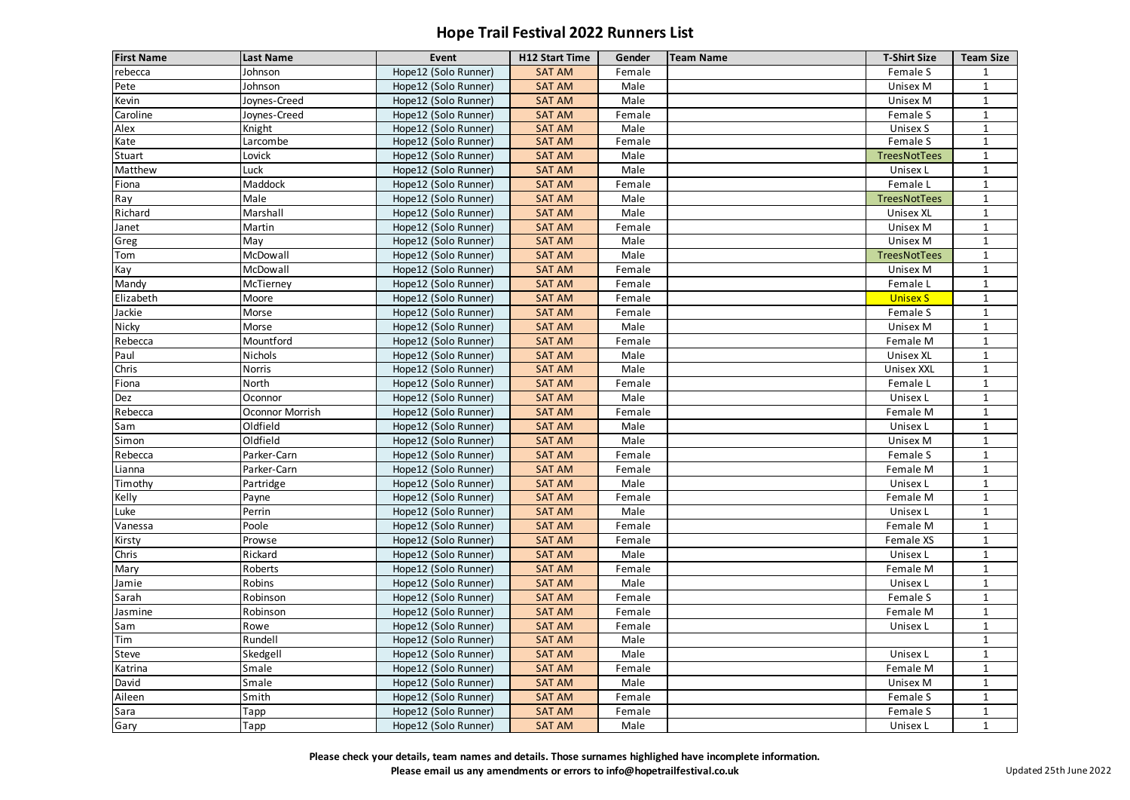| <b>First Name</b> | <b>Last Name</b> | Event                | <b>H12 Start Time</b> | Gender | <b>Team Name</b> | <b>T-Shirt Size</b> | <b>Team Size</b> |
|-------------------|------------------|----------------------|-----------------------|--------|------------------|---------------------|------------------|
| rebecca           | Johnson          | Hope12 (Solo Runner) | <b>SAT AM</b>         | Female |                  | Female S            | $\mathbf{1}$     |
| Pete              | Johnson          | Hope12 (Solo Runner) | <b>SAT AM</b>         | Male   |                  | Unisex M            | $\mathbf{1}$     |
| Kevin             | Joynes-Creed     | Hope12 (Solo Runner) | <b>SAT AM</b>         | Male   |                  | Unisex M            | $\mathbf{1}$     |
| Caroline          | Joynes-Creed     | Hope12 (Solo Runner) | <b>SAT AM</b>         | Female |                  | Female S            | 1                |
| Alex              | Knight           | Hope12 (Solo Runner) | <b>SAT AM</b>         | Male   |                  | Unisex S            | $\mathbf 1$      |
| Kate              | Larcombe         | Hope12 (Solo Runner) | <b>SAT AM</b>         | Female |                  | Female S            | $\mathbf{1}$     |
| Stuart            | Lovick           | Hope12 (Solo Runner) | <b>SAT AM</b>         | Male   |                  | TreesNotTees        | $\mathbf{1}$     |
| Matthew           | Luck             | Hope12 (Solo Runner) | <b>SAT AM</b>         | Male   |                  | Unisex L            | $\mathbf{1}$     |
| Fiona             | Maddock          | Hope12 (Solo Runner) | <b>SAT AM</b>         | Female |                  | Female L            | $\mathbf{1}$     |
| Ray               | Male             | Hope12 (Solo Runner) | <b>SAT AM</b>         | Male   |                  | <b>TreesNotTees</b> | $\mathbf{1}$     |
| Richard           | Marshall         | Hope12 (Solo Runner) | <b>SAT AM</b>         | Male   |                  | <b>Unisex XL</b>    | $\mathbf{1}$     |
| Janet             | Martin           | Hope12 (Solo Runner) | <b>SAT AM</b>         | Female |                  | Unisex M            | $\mathbf 1$      |
| Greg              | May              | Hope12 (Solo Runner) | <b>SAT AM</b>         | Male   |                  | Unisex M            | $\mathbf{1}$     |
| Tom               | McDowall         | Hope12 (Solo Runner) | <b>SAT AM</b>         | Male   |                  | <b>TreesNotTees</b> | $\mathbf{1}$     |
| Kay               | McDowall         | Hope12 (Solo Runner) | <b>SAT AM</b>         | Female |                  | Unisex M            | $\mathbf{1}$     |
| Mandy             | McTierney        | Hope12 (Solo Runner) | <b>SAT AM</b>         | Female |                  | Female L            | $\mathbf 1$      |
| Elizabeth         | Moore            | Hope12 (Solo Runner) | <b>SAT AM</b>         | Female |                  | <b>Unisex S</b>     | $\mathbf{1}$     |
| Jackie            | Morse            | Hope12 (Solo Runner) | <b>SAT AM</b>         | Female |                  | Female S            | $\mathbf{1}$     |
| <b>Nicky</b>      | Morse            | Hope12 (Solo Runner) | <b>SAT AM</b>         | Male   |                  | Unisex M            | 1                |
| Rebecca           | Mountford        | Hope12 (Solo Runner) | <b>SAT AM</b>         | Female |                  | Female M            | $\mathbf 1$      |
| Paul              | Nichols          | Hope12 (Solo Runner) | <b>SAT AM</b>         | Male   |                  | <b>Unisex XL</b>    | $\mathbf{1}$     |
| Chris             | <b>Norris</b>    | Hope12 (Solo Runner) | <b>SAT AM</b>         | Male   |                  | <b>Unisex XXL</b>   | $\mathbf{1}$     |
| Fiona             | North            | Hope12 (Solo Runner) | <b>SAT AM</b>         | Female |                  | Female L            | $\mathbf{1}$     |
| Dez               | Oconnor          | Hope12 (Solo Runner) | <b>SAT AM</b>         | Male   |                  | Unisex L            | $\mathbf 1$      |
| Rebecca           | Oconnor Morrish  | Hope12 (Solo Runner) | <b>SAT AM</b>         | Female |                  | Female M            | $\mathbf{1}$     |
| Sam               | Oldfield         | Hope12 (Solo Runner) | <b>SAT AM</b>         | Male   |                  | Unisex L            | $\mathbf{1}$     |
| Simon             | Oldfield         | Hope12 (Solo Runner) | <b>SAT AM</b>         | Male   |                  | Unisex M            | $\mathbf{1}$     |
| Rebecca           | Parker-Carn      | Hope12 (Solo Runner) | <b>SAT AM</b>         | Female |                  | Female S            | $\mathbf 1$      |
| Lianna            | Parker-Carn      | Hope12 (Solo Runner) | <b>SAT AM</b>         | Female |                  | Female M            | $\mathbf{1}$     |
| Timothy           | Partridge        | Hope12 (Solo Runner) | <b>SAT AM</b>         | Male   |                  | Unisex L            | $\mathbf 1$      |
| Kelly             | Payne            | Hope12 (Solo Runner) | <b>SAT AM</b>         | Female |                  | Female M            | $\mathbf{1}$     |
| Luke              | Perrin           | Hope12 (Solo Runner) | <b>SAT AM</b>         | Male   |                  | Unisex L            | $\mathbf 1$      |
| Vanessa           | Poole            | Hope12 (Solo Runner) | <b>SAT AM</b>         | Female |                  | Female M            | $\mathbf{1}$     |
| Kirsty            | Prowse           | Hope12 (Solo Runner) | <b>SAT AM</b>         | Female |                  | Female XS           | 1                |
| Chris             | Rickard          | Hope12 (Solo Runner) | <b>SAT AM</b>         | Male   |                  | Unisex L            | $\mathbf{1}$     |
| Mary              | Roberts          | Hope12 (Solo Runner) | <b>SAT AM</b>         | Female |                  | Female M            | $\mathbf 1$      |
| Jamie             | Robins           | Hope12 (Solo Runner) | <b>SAT AM</b>         | Male   |                  | Unisex L            | $\mathbf{1}$     |
| Sarah             | Robinson         | Hope12 (Solo Runner) | <b>SAT AM</b>         | Female |                  | Female S            |                  |
| Jasmine           | Robinson         | Hope12 (Solo Runner) | <b>SAT AM</b>         | Female |                  | Female M            | $\mathbf{1}$     |
| Sam               | Rowe             | Hope12 (Solo Runner) | <b>SAT AM</b>         | Female |                  | Unisex L            | $\mathbf{1}$     |
| Tim               | Rundell          | Hope12 (Solo Runner) | <b>SAT AM</b>         | Male   |                  |                     | $\mathbf{1}$     |
| Steve             | Skedgell         | Hope12 (Solo Runner) | <b>SAT AM</b>         | Male   |                  | Unisex L            |                  |
| Katrina           | Smale            | Hope12 (Solo Runner) | <b>SAT AM</b>         | Female |                  | Female M            | $\mathbf{1}$     |
| David             | Smale            | Hope12 (Solo Runner) | <b>SAT AM</b>         | Male   |                  | Unisex M            | $\mathbf{1}$     |
| Aileen            | Smith            | Hope12 (Solo Runner) | <b>SAT AM</b>         | Female |                  | Female S            | $\mathbf{1}$     |
| Sara              | Tapp             | Hope12 (Solo Runner) | <b>SAT AM</b>         | Female |                  | Female S            |                  |
| Gary              | Tapp             | Hope12 (Solo Runner) | <b>SAT AM</b>         | Male   |                  | Unisex L            | $\mathbf{1}$     |
|                   |                  |                      |                       |        |                  |                     |                  |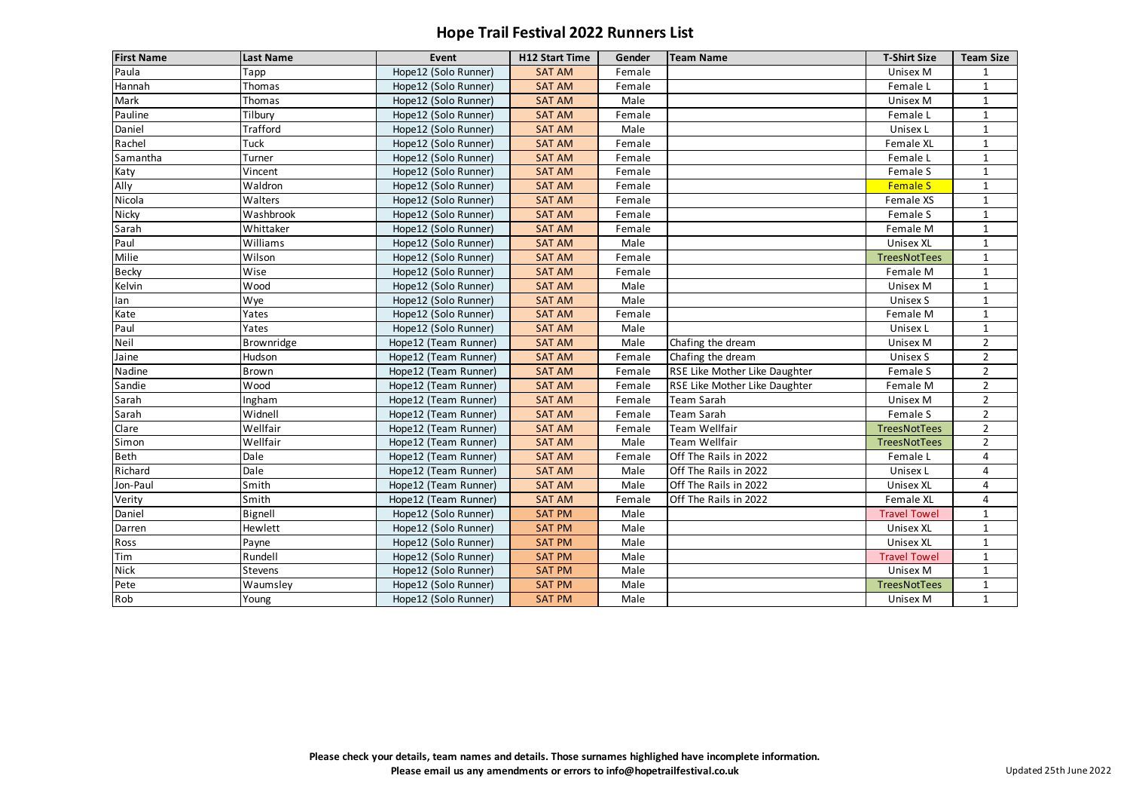| <b>First Name</b> | <b>Last Name</b> | <b>Event</b>         | <b>H12 Start Time</b> | Gender | <b>Team Name</b>              | <b>T-Shirt Size</b> | <b>Team Size</b>        |
|-------------------|------------------|----------------------|-----------------------|--------|-------------------------------|---------------------|-------------------------|
| Paula             | Tapp             | Hope12 (Solo Runner) | <b>SAT AM</b>         | Female |                               | Unisex M            | 1                       |
| Hannah            | Thomas           | Hope12 (Solo Runner) | <b>SAT AM</b>         | Female |                               | Female L            | $\mathbf{1}$            |
| Mark              | Thomas           | Hope12 (Solo Runner) | <b>SAT AM</b>         | Male   |                               | Unisex M            | $\mathbf{1}$            |
| Pauline           | Tilbury          | Hope12 (Solo Runner) | <b>SAT AM</b>         | Female |                               | Female L            | $\mathbf{1}$            |
| Daniel            | Trafford         | Hope12 (Solo Runner) | <b>SAT AM</b>         | Male   |                               | Unisex L            | $\mathbf{1}$            |
| Rachel            | Tuck             | Hope12 (Solo Runner) | <b>SAT AM</b>         | Female |                               | Female XL           | $\mathbf{1}$            |
| Samantha          | Turner           | Hope12 (Solo Runner) | <b>SAT AM</b>         | Female |                               | Female L            | $\mathbf{1}$            |
| Katy              | Vincent          | Hope12 (Solo Runner) | <b>SAT AM</b>         | Female |                               | Female S            | $\mathbf{1}$            |
| Ally              | Waldron          | Hope12 (Solo Runner) | <b>SAT AM</b>         | Female |                               | <b>Female S</b>     | $\mathbf{1}$            |
| Nicola            | Walters          | Hope12 (Solo Runner) | <b>SAT AM</b>         | Female |                               | Female XS           | $\mathbf{1}$            |
| Nicky             | Washbrook        | Hope12 (Solo Runner) | <b>SAT AM</b>         | Female |                               | Female S            | $\mathbf{1}$            |
| Sarah             | Whittaker        | Hope12 (Solo Runner) | <b>SAT AM</b>         | Female |                               | Female M            | $\mathbf{1}$            |
| Paul              | Williams         | Hope12 (Solo Runner) | <b>SAT AM</b>         | Male   |                               | <b>Unisex XL</b>    | $\mathbf{1}$            |
| Milie             | Wilson           | Hope12 (Solo Runner) | <b>SAT AM</b>         | Female |                               | TreesNotTees        | $\mathbf{1}$            |
| <b>Becky</b>      | Wise             | Hope12 (Solo Runner) | <b>SAT AM</b>         | Female |                               | Female M            | $\mathbf{1}$            |
| Kelvin            | Wood             | Hope12 (Solo Runner) | <b>SAT AM</b>         | Male   |                               | Unisex M            | $\mathbf{1}$            |
| lan               | Wye              | Hope12 (Solo Runner) | <b>SAT AM</b>         | Male   |                               | Unisex S            | $\mathbf{1}$            |
| Kate              | Yates            | Hope12 (Solo Runner) | <b>SAT AM</b>         | Female |                               | Female M            | $\mathbf{1}$            |
| Paul              | Yates            | Hope12 (Solo Runner) | <b>SAT AM</b>         | Male   |                               | Unisex L            | $\mathbf{1}$            |
| Neil              | Brownridge       | Hope12 (Team Runner) | <b>SAT AM</b>         | Male   | Chafing the dream             | Unisex M            | $\overline{2}$          |
| Jaine             | Hudson           | Hope12 (Team Runner) | <b>SAT AM</b>         | Female | Chafing the dream             | Unisex S            | $\overline{2}$          |
| Nadine            | Brown            | Hope12 (Team Runner) | <b>SAT AM</b>         | Female | RSE Like Mother Like Daughter | Female S            | $2^{\circ}$             |
| Sandie            | Wood             | Hope12 (Team Runner) | <b>SAT AM</b>         | Female | RSE Like Mother Like Daughter | Female M            | $\overline{2}$          |
| Sarah             | Ingham           | Hope12 (Team Runner) | <b>SAT AM</b>         | Female | Team Sarah                    | Unisex M            | $2^{\circ}$             |
| Sarah             | Widnell          | Hope12 (Team Runner) | <b>SAT AM</b>         | Female | Team Sarah                    | Female S            | $\overline{2}$          |
| Clare             | Wellfair         | Hope12 (Team Runner) | <b>SAT AM</b>         | Female | Team Wellfair                 | TreesNotTees        | $2^{\circ}$             |
| Simon             | Wellfair         | Hope12 (Team Runner) | <b>SAT AM</b>         | Male   | Team Wellfair                 | TreesNotTees        | $\overline{2}$          |
| <b>Beth</b>       | Dale             | Hope12 (Team Runner) | <b>SAT AM</b>         | Female | Off The Rails in 2022         | Female L            | $\overline{\mathbf{4}}$ |
| Richard           | Dale             | Hope12 (Team Runner) | <b>SAT AM</b>         | Male   | Off The Rails in 2022         | Unisex L            | 4                       |
| Jon-Paul          | Smith            | Hope12 (Team Runner) | <b>SAT AM</b>         | Male   | Off The Rails in 2022         | <b>Unisex XL</b>    | 4                       |
| Verity            | Smith            | Hope12 (Team Runner) | <b>SAT AM</b>         | Female | Off The Rails in 2022         | Female XL           | 4                       |
| Daniel            | Bignell          | Hope12 (Solo Runner) | <b>SAT PM</b>         | Male   |                               | <b>Travel Towel</b> | $\mathbf{1}$            |
| Darren            | Hewlett          | Hope12 (Solo Runner) | <b>SAT PM</b>         | Male   |                               | <b>Unisex XL</b>    | $\mathbf{1}$            |
| Ross              | Payne            | Hope12 (Solo Runner) | <b>SAT PM</b>         | Male   |                               | <b>Unisex XL</b>    | $\mathbf{1}$            |
| $I$ Tim           | Rundell          | Hope12 (Solo Runner) | <b>SAT PM</b>         | Male   |                               | <b>Travel Towel</b> | $\mathbf{1}$            |
| <b>Nick</b>       | Stevens          | Hope12 (Solo Runner) | <b>SAT PM</b>         | Male   |                               | Unisex M            | $\mathbf{1}$            |
| Pete              | Waumsley         | Hope12 (Solo Runner) | <b>SAT PM</b>         | Male   |                               | <b>TreesNotTees</b> | $\mathbf{1}$            |
| Rob               | Young            | Hope12 (Solo Runner) | <b>SAT PM</b>         | Male   |                               | Unisex M            | $\mathbf{1}$            |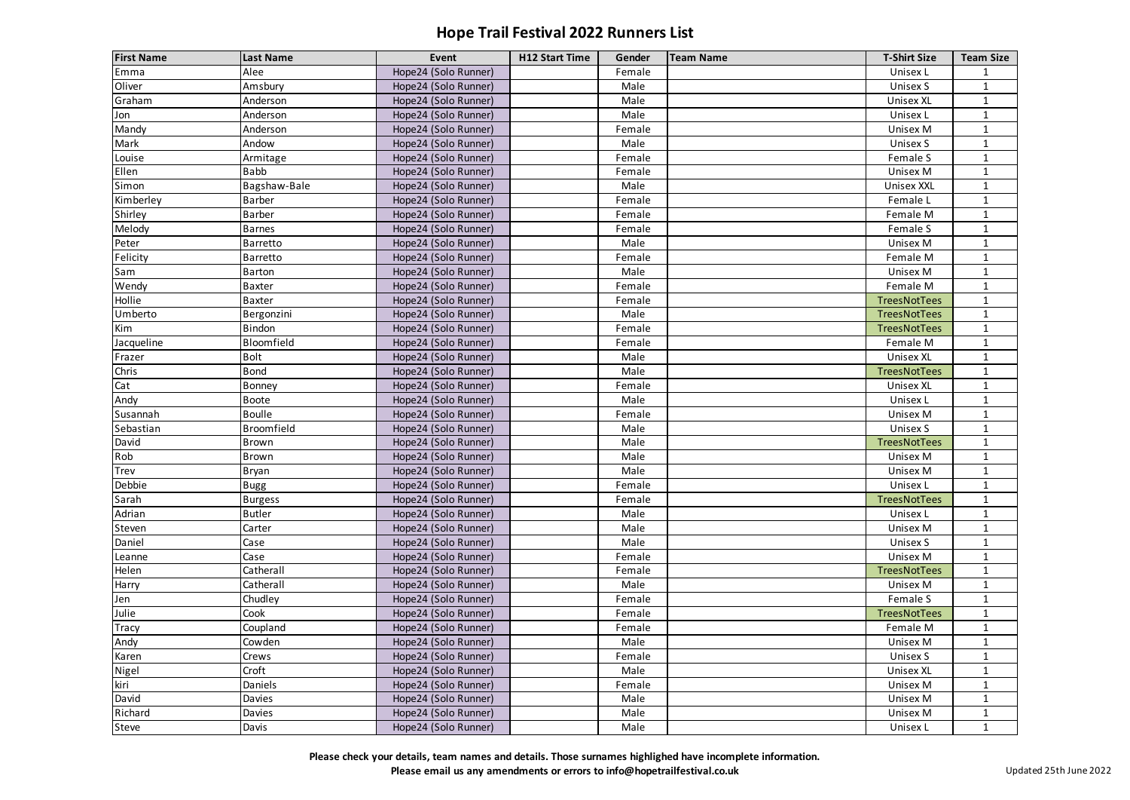| <b>First Name</b> | <b>Last Name</b> | Event                | <b>H12 Start Time</b> | Gender | <b>Team Name</b> | <b>T-Shirt Size</b> | <b>Team Size</b> |
|-------------------|------------------|----------------------|-----------------------|--------|------------------|---------------------|------------------|
| Emma              | Alee             | Hope24 (Solo Runner) |                       | Female |                  | Unisex L            | 1                |
| Oliver            | Amsbury          | Hope24 (Solo Runner) |                       | Male   |                  | Unisex S            | $\mathbf{1}$     |
| Graham            | Anderson         | Hope24 (Solo Runner) |                       | Male   |                  | Unisex XL           | $\mathbf{1}$     |
| Jon               | Anderson         | Hope24 (Solo Runner) |                       | Male   |                  | Unisex L            | 1                |
| Mandy             | Anderson         | Hope24 (Solo Runner) |                       | Female |                  | <b>Unisex M</b>     | $\mathbf{1}$     |
| Mark              | Andow            | Hope24 (Solo Runner) |                       | Male   |                  | Unisex S            | $\mathbf{1}$     |
| Louise            | Armitage         | Hope24 (Solo Runner) |                       | Female |                  | Female S            | $\mathbf{1}$     |
| Ellen             | <b>Babb</b>      | Hope24 (Solo Runner) |                       | Female |                  | <b>Unisex M</b>     | 1                |
| Simon             | Bagshaw-Bale     | Hope24 (Solo Runner) |                       | Male   |                  | <b>Unisex XXL</b>   | $\mathbf{1}$     |
| Kimberley         | Barber           | Hope24 (Solo Runner) |                       | Female |                  | Female L            | 1                |
| Shirley           | Barber           | Hope24 (Solo Runner) |                       | Female |                  | Female M            | $\mathbf{1}$     |
| Melody            | <b>Barnes</b>    | Hope24 (Solo Runner) |                       | Female |                  | Female S            | 1                |
| Peter             | Barretto         | Hope24 (Solo Runner) |                       | Male   |                  | <b>Unisex M</b>     | $\mathbf{1}$     |
| Felicity          | Barretto         | Hope24 (Solo Runner) |                       | Female |                  | Female M            | 1                |
| Sam               | Barton           | Hope24 (Solo Runner) |                       | Male   |                  | <b>Unisex M</b>     | 1                |
| Wendy             | <b>Baxter</b>    | Hope24 (Solo Runner) |                       | Female |                  | Female M            | 1                |
| Hollie            | <b>Baxter</b>    | Hope24 (Solo Runner) |                       | Female |                  | TreesNotTees        | $\mathbf{1}$     |
| Umberto           | Bergonzini       | Hope24 (Solo Runner) |                       | Male   |                  | TreesNotTees        | $\mathbf{1}$     |
| Kim               | Bindon           | Hope24 (Solo Runner) |                       | Female |                  | TreesNotTees        | $\mathbf{1}$     |
| Jacqueline        | Bloomfield       | Hope24 (Solo Runner) |                       | Female |                  | Female M            | $\mathbf{1}$     |
| Frazer            | <b>Bolt</b>      | Hope24 (Solo Runner) |                       | Male   |                  | <b>Unisex XL</b>    | $\mathbf{1}$     |
| Chris             | <b>Bond</b>      | Hope24 (Solo Runner) |                       | Male   |                  | TreesNotTees        | 1                |
| Cat               | Bonney           | Hope24 (Solo Runner) |                       | Female |                  | Unisex XL           | 1                |
| Andy              | Boote            | Hope24 (Solo Runner) |                       | Male   |                  | Unisex L            | $\mathbf{1}$     |
| Susannah          | <b>Boulle</b>    | Hope24 (Solo Runner) |                       | Female |                  | <b>Unisex M</b>     | $\mathbf{1}$     |
| Sebastian         | Broomfield       | Hope24 (Solo Runner) |                       | Male   |                  | Unisex S            | $\mathbf{1}$     |
| David             | Brown            | Hope24 (Solo Runner) |                       | Male   |                  | TreesNotTees        | $\mathbf{1}$     |
| Rob               | Brown            | Hope24 (Solo Runner) |                       | Male   |                  | <b>Unisex M</b>     | 1                |
| Trev              | Bryan            | Hope24 (Solo Runner) |                       | Male   |                  | Unisex M            |                  |
| Debbie            | Bugg             | Hope24 (Solo Runner) |                       | Female |                  | Unisex L            | $\mathbf{1}$     |
| Sarah             | <b>Burgess</b>   | Hope24 (Solo Runner) |                       | Female |                  | TreesNotTees        | $\mathbf{1}$     |
| Adrian            | <b>Butler</b>    | Hope24 (Solo Runner) |                       | Male   |                  | Unisex L            | $\mathbf{1}$     |
| Steven            | Carter           | Hope24 (Solo Runner) |                       | Male   |                  | Unisex M            | $\mathbf{1}$     |
| Daniel            | Case             | Hope24 (Solo Runner) |                       | Male   |                  | Unisex S            |                  |
| Leanne            | Case             | Hope24 (Solo Runner) |                       | Female |                  | Unisex M            | $\mathbf{1}$     |
| Helen             | Catherall        | Hope24 (Solo Runner) |                       | Female |                  | TreesNotTees        | $\mathbf{1}$     |
| Harry             | Catherall        | Hope24 (Solo Runner) |                       | Male   |                  | Unisex M            | $\mathbf{1}$     |
| Jen               | Chudley          | Hope24 (Solo Runner) |                       | Female |                  | Female S            |                  |
| Julie             | Cook             | Hope24 (Solo Runner) |                       | Female |                  | TreesNotTees        | $\mathbf{1}$     |
| Tracy             | Coupland         | Hope24 (Solo Runner) |                       | Female |                  | Female M            | $\mathbf{1}$     |
| Andy              | Cowden           | Hope24 (Solo Runner) |                       | Male   |                  | Unisex M            | $\mathbf{1}$     |
| Karen             | Crews            | Hope24 (Solo Runner) |                       | Female |                  | Unisex S            |                  |
| Nigel             | Croft            | Hope24 (Solo Runner) |                       | Male   |                  | <b>Unisex XL</b>    | $\mathbf{1}$     |
| kiri              | Daniels          | Hope24 (Solo Runner) |                       | Female |                  | Unisex M            | 1                |
| David             | Davies           | Hope24 (Solo Runner) |                       | Male   |                  | Unisex M            | $\mathbf{1}$     |
| Richard           | Davies           | Hope24 (Solo Runner) |                       | Male   |                  | Unisex M            | $\mathbf{1}$     |
| Steve             | Davis            | Hope24 (Solo Runner) |                       | Male   |                  | Unisex L            | $\mathbf{1}$     |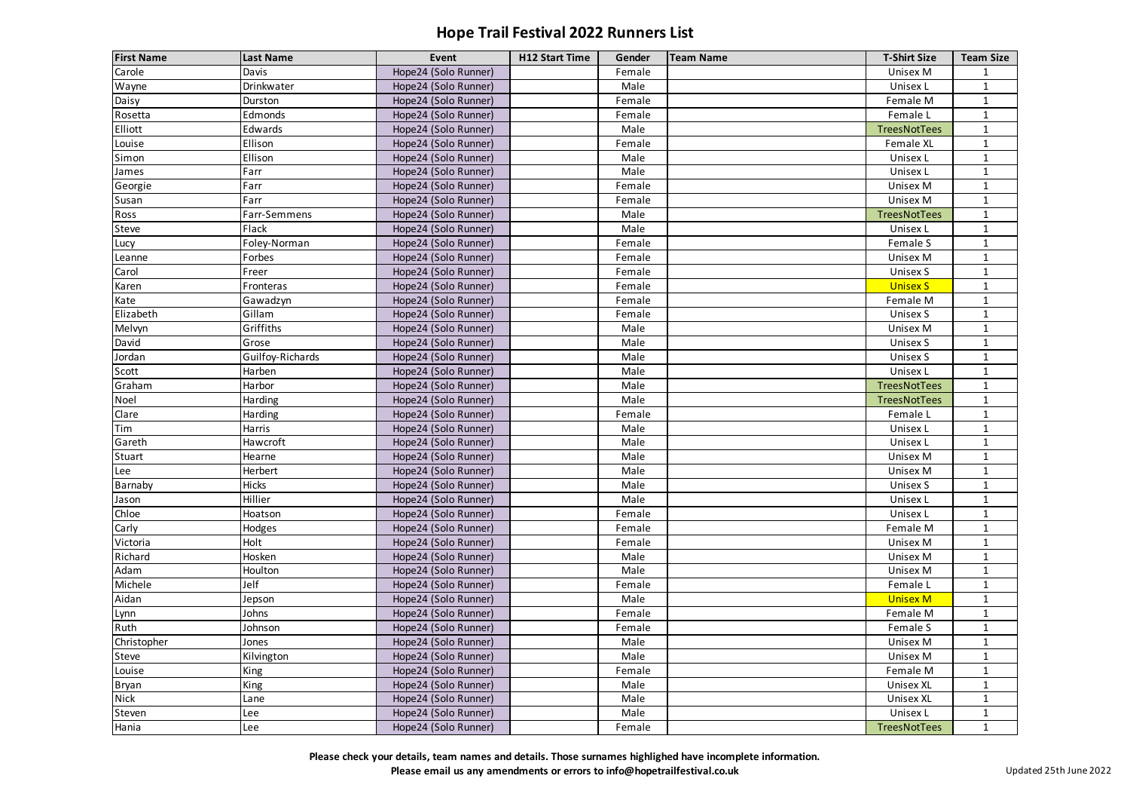| <b>First Name</b> | <b>Last Name</b> | <b>Event</b>         | <b>H12 Start Time</b> | Gender | <b>Team Name</b> | <b>T-Shirt Size</b> | <b>Team Size</b> |
|-------------------|------------------|----------------------|-----------------------|--------|------------------|---------------------|------------------|
| Carole            | Davis            | Hope24 (Solo Runner) |                       | Female |                  | <b>Unisex M</b>     |                  |
| Wayne             | Drinkwater       | Hope24 (Solo Runner) |                       | Male   |                  | Unisex L            | 1                |
| Daisy             | Durston          | Hope24 (Solo Runner) |                       | Female |                  | Female M            | $\mathbf{1}$     |
| Rosetta           | Edmonds          | Hope24 (Solo Runner) |                       | Female |                  | Female L            | 1                |
| Elliott           | Edwards          | Hope24 (Solo Runner) |                       | Male   |                  | TreesNotTees        | $\mathbf{1}$     |
| Louise            | Ellison          | Hope24 (Solo Runner) |                       | Female |                  | Female XL           | $\mathbf{1}$     |
| Simon             | Ellison          | Hope24 (Solo Runner) |                       | Male   |                  | Unisex L            | $\mathbf{1}$     |
| James             | Farr             | Hope24 (Solo Runner) |                       | Male   |                  | Unisex L            | 1                |
| Georgie           | Farr             | Hope24 (Solo Runner) |                       | Female |                  | <b>Unisex M</b>     | $\mathbf{1}$     |
| Susan             | Farr             | Hope24 (Solo Runner) |                       | Female |                  | Unisex M            | 1                |
| Ross              | Farr-Semmens     | Hope24 (Solo Runner) |                       | Male   |                  | TreesNotTees        | $\mathbf{1}$     |
| Steve             | Flack            | Hope24 (Solo Runner) |                       | Male   |                  | Unisex L            |                  |
| Lucy              | Foley-Norman     | Hope24 (Solo Runner) |                       | Female |                  | Female S            | $\mathbf{1}$     |
| Leanne            | Forbes           | Hope24 (Solo Runner) |                       | Female |                  | Unisex M            | 1                |
| Carol             | Freer            | Hope24 (Solo Runner) |                       | Female |                  | Unisex S            | 1                |
| Karen             | Fronteras        | Hope24 (Solo Runner) |                       | Female |                  | <b>Unisex S</b>     |                  |
| Kate              | Gawadzyn         | Hope24 (Solo Runner) |                       | Female |                  | Female M            | 1                |
| Elizabeth         | Gillam           | Hope24 (Solo Runner) |                       | Female |                  | Unisex S            | 1                |
| Melvyn            | Griffiths        | Hope24 (Solo Runner) |                       | Male   |                  | Unisex M            | 1                |
| David             | Grose            | Hope24 (Solo Runner) |                       | Male   |                  | Unisex S            |                  |
| Jordan            | Guilfoy-Richards | Hope24 (Solo Runner) |                       | Male   |                  | <b>Unisex S</b>     | $\mathbf{1}$     |
| Scott             | Harben           | Hope24 (Solo Runner) |                       | Male   |                  | Unisex L            | 1                |
| Graham            | Harbor           | Hope24 (Solo Runner) |                       | Male   |                  | TreesNotTees        | $\mathbf{1}$     |
| Noel              | Harding          | Hope24 (Solo Runner) |                       | Male   |                  | TreesNotTees        | $\mathbf{1}$     |
| Clare             | Harding          | Hope24 (Solo Runner) |                       | Female |                  | Female L            | $\mathbf{1}$     |
| Tim               | Harris           | Hope24 (Solo Runner) |                       | Male   |                  | Unisex L            | $\mathbf{1}$     |
| Gareth            | Hawcroft         | Hope24 (Solo Runner) |                       | Male   |                  | Unisex L            | $\mathbf{1}$     |
| Stuart            | Hearne           | Hope24 (Solo Runner) |                       | Male   |                  | <b>Unisex M</b>     | $\mathbf{1}$     |
| Lee               | Herbert          | Hope24 (Solo Runner) |                       | Male   |                  | Unisex M            |                  |
| Barnaby           | <b>Hicks</b>     | Hope24 (Solo Runner) |                       | Male   |                  | Unisex S            | $\mathbf{1}$     |
| Jason             | Hillier          | Hope24 (Solo Runner) |                       | Male   |                  | Unisex L            | $\mathbf{1}$     |
| Chloe             | Hoatson          | Hope24 (Solo Runner) |                       | Female |                  | Unisex L            | $\mathbf{1}$     |
| Carly             | Hodges           | Hope24 (Solo Runner) |                       | Female |                  | Female M            |                  |
| Victoria          | Holt             | Hope24 (Solo Runner) |                       | Female |                  | Unisex M            |                  |
| Richard           | Hosken           | Hope24 (Solo Runner) |                       | Male   |                  | <b>Unisex M</b>     | $\mathbf{1}$     |
| Adam              | Houlton          | Hope24 (Solo Runner) |                       | Male   |                  | Unisex M            | $\mathbf{1}$     |
| Michele           | Jelf             | Hope24 (Solo Runner) |                       | Female |                  | Female L            | $\mathbf{1}$     |
| Aidan             | Jepson           | Hope24 (Solo Runner) |                       | Male   |                  | <b>Unisex M</b>     |                  |
| Lynn              | Johns            | Hope24 (Solo Runner) |                       | Female |                  | Female M            | $\mathbf{1}$     |
| Ruth              | Johnson          | Hope24 (Solo Runner) |                       | Female |                  | Female S            | $\mathbf{1}$     |
| Christopher       | Jones            | Hope24 (Solo Runner) |                       | Male   |                  | Unisex M            | $\mathbf{1}$     |
| Steve             | Kilvington       | Hope24 (Solo Runner) |                       | Male   |                  | Unisex M            |                  |
| Louise            | King             | Hope24 (Solo Runner) |                       | Female |                  | Female M            | $\mathbf{1}$     |
| Bryan             | King             | Hope24 (Solo Runner) |                       | Male   |                  | <b>Unisex XL</b>    | $\mathbf{1}$     |
| <b>Nick</b>       | Lane             | Hope24 (Solo Runner) |                       | Male   |                  | <b>Unisex XL</b>    | $\mathbf{1}$     |
| Steven            | Lee              | Hope24 (Solo Runner) |                       | Male   |                  | Unisex L            | 1                |
| Hania             | Lee              | Hope24 (Solo Runner) |                       | Female |                  | TreesNotTees        | $\mathbf{1}$     |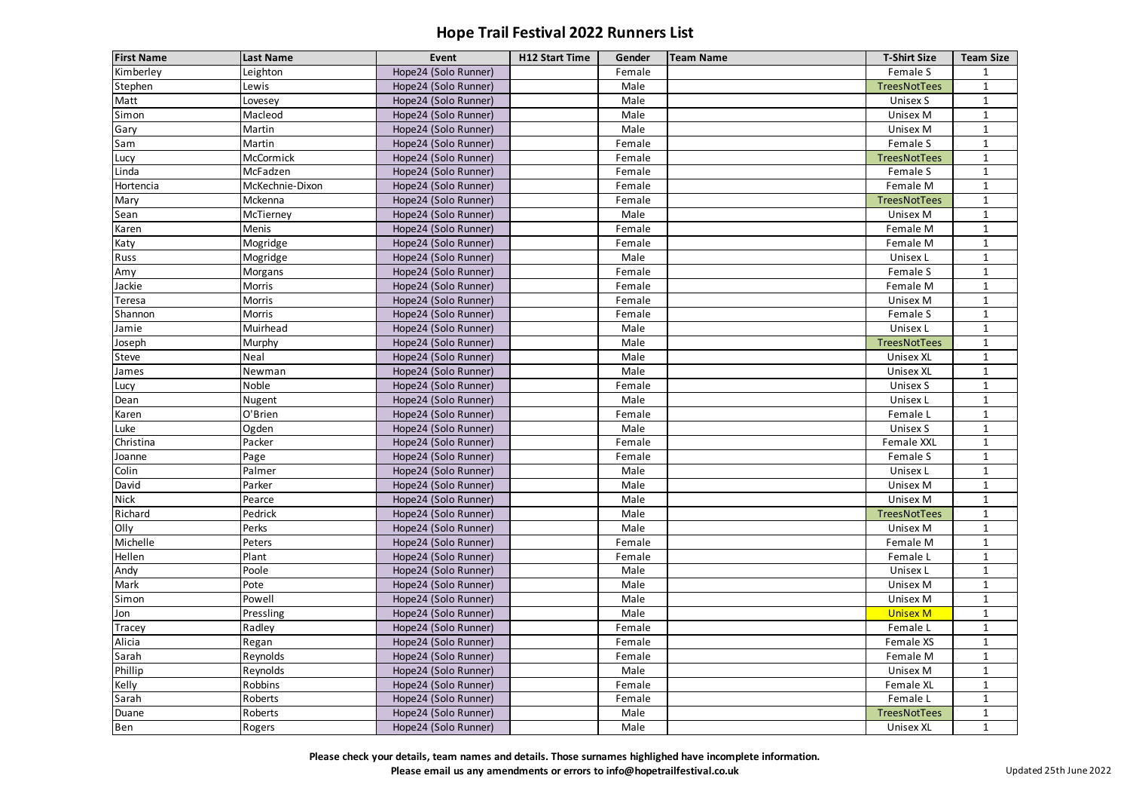| <b>First Name</b> | <b>Last Name</b> | Event                | <b>H12 Start Time</b> | Gender | <b>Team Name</b> | <b>T-Shirt Size</b> | <b>Team Size</b> |
|-------------------|------------------|----------------------|-----------------------|--------|------------------|---------------------|------------------|
| Kimberley         | Leighton         | Hope24 (Solo Runner) |                       | Female |                  | Female S            |                  |
| Stephen           | Lewis            | Hope24 (Solo Runner) |                       | Male   |                  | <b>TreesNotTees</b> | $\mathbf{1}$     |
| Matt              | Lovesey          | Hope24 (Solo Runner) |                       | Male   |                  | Unisex S            | $\mathbf{1}$     |
| Simon             | Macleod          | Hope24 (Solo Runner) |                       | Male   |                  | Unisex M            | 1                |
| Gary              | Martin           | Hope24 (Solo Runner) |                       | Male   |                  | Unisex M            | $\mathbf{1}$     |
| Sam               | Martin           | Hope24 (Solo Runner) |                       | Female |                  | Female S            | $\mathbf{1}$     |
| Lucy              | McCormick        | Hope24 (Solo Runner) |                       | Female |                  | <b>TreesNotTees</b> | $\mathbf{1}$     |
| Linda             | McFadzen         | Hope24 (Solo Runner) |                       | Female |                  | Female S            | 1                |
| Hortencia         | McKechnie-Dixon  | Hope24 (Solo Runner) |                       | Female |                  | Female M            | $\mathbf{1}$     |
| Mary              | Mckenna          | Hope24 (Solo Runner) |                       | Female |                  | TreesNotTees        | 1                |
| Sean              | McTierney        | Hope24 (Solo Runner) |                       | Male   |                  | <b>Unisex M</b>     | $\mathbf{1}$     |
| Karen             | Menis            | Hope24 (Solo Runner) |                       | Female |                  | Female M            | 1                |
| Katy              | Mogridge         | Hope24 (Solo Runner) |                       | Female |                  | Female M            | $\mathbf{1}$     |
| Russ              | Mogridge         | Hope24 (Solo Runner) |                       | Male   |                  | Unisex L            | 1                |
| Amy               | Morgans          | Hope24 (Solo Runner) |                       | Female |                  | Female S            | $\mathbf{1}$     |
| Jackie            | Morris           | Hope24 (Solo Runner) |                       | Female |                  | Female M            | 1                |
| Teresa            | Morris           | Hope24 (Solo Runner) |                       | Female |                  | <b>Unisex M</b>     | $\mathbf{1}$     |
| Shannon           | Morris           | Hope24 (Solo Runner) |                       | Female |                  | Female S            | 1                |
| Jamie             | Muirhead         | Hope24 (Solo Runner) |                       | Male   |                  | Unisex L            | $\mathbf{1}$     |
| Joseph            | Murphy           | Hope24 (Solo Runner) |                       | Male   |                  | TreesNotTees        | 1                |
| Steve             | Neal             | Hope24 (Solo Runner) |                       | Male   |                  | <b>Unisex XL</b>    | $\mathbf{1}$     |
| James             | Newman           | Hope24 (Solo Runner) |                       | Male   |                  | <b>Unisex XL</b>    | 1                |
| Lucy              | Noble            | Hope24 (Solo Runner) |                       | Female |                  | Unisex S            | 1                |
| Dean              | Nugent           | Hope24 (Solo Runner) |                       | Male   |                  | Unisex L            | $\mathbf{1}$     |
| Karen             | O'Brien          | Hope24 (Solo Runner) |                       | Female |                  | Female L            | $\mathbf{1}$     |
| Luke              | Ogden            | Hope24 (Solo Runner) |                       | Male   |                  | Unisex S            | $\mathbf{1}$     |
| Christina         | Packer           | Hope24 (Solo Runner) |                       | Female |                  | Female XXL          | $\mathbf{1}$     |
| Joanne            | Page             | Hope24 (Solo Runner) |                       | Female |                  | Female S            | 1                |
| Colin             | Palmer           | Hope24 (Solo Runner) |                       | Male   |                  | Unisex L            |                  |
| David             | Parker           | Hope24 (Solo Runner) |                       | Male   |                  | Unisex M            | $\mathbf{1}$     |
| <b>Nick</b>       | Pearce           | Hope24 (Solo Runner) |                       | Male   |                  | Unisex M            | $\mathbf{1}$     |
| Richard           | Pedrick          | Hope24 (Solo Runner) |                       | Male   |                  | TreesNotTees        | $\mathbf{1}$     |
| Olly              | Perks            | Hope24 (Solo Runner) |                       | Male   |                  | Unisex M            | $\mathbf{1}$     |
| Michelle          | Peters           | Hope24 (Solo Runner) |                       | Female |                  | Female M            |                  |
| Hellen            | Plant            | Hope24 (Solo Runner) |                       | Female |                  | Female L            | $\mathbf{1}$     |
| Andy              | Poole            | Hope24 (Solo Runner) |                       | Male   |                  | Unisex L            | $\mathbf{1}$     |
| Mark              | Pote             | Hope24 (Solo Runner) |                       | Male   |                  | Unisex M            | $\mathbf{1}$     |
| Simon             | Powell           | Hope24 (Solo Runner) |                       | Male   |                  | Unisex M            |                  |
| Jon               | Pressling        | Hope24 (Solo Runner) |                       | Male   |                  | <b>Unisex M</b>     | $\mathbf{1}$     |
| Tracey            | Radley           | Hope24 (Solo Runner) |                       | Female |                  | Female L            | $\mathbf{1}$     |
| Alicia            | Regan            | Hope24 (Solo Runner) |                       | Female |                  | Female XS           | $\mathbf{1}$     |
| Sarah             | Reynolds         | Hope24 (Solo Runner) |                       | Female |                  | Female M            |                  |
| Phillip           | Reynolds         | Hope24 (Solo Runner) |                       | Male   |                  | Unisex M            | $\mathbf{1}$     |
| Kelly             | Robbins          | Hope24 (Solo Runner) |                       | Female |                  | Female XL           | 1                |
| Sarah             | Roberts          | Hope24 (Solo Runner) |                       | Female |                  | Female L            | $\mathbf{1}$     |
| Duane             | Roberts          | Hope24 (Solo Runner) |                       | Male   |                  | TreesNotTees        | $\mathbf{1}$     |
| Ben               | Rogers           | Hope24 (Solo Runner) |                       | Male   |                  | Unisex XL           | $\mathbf{1}$     |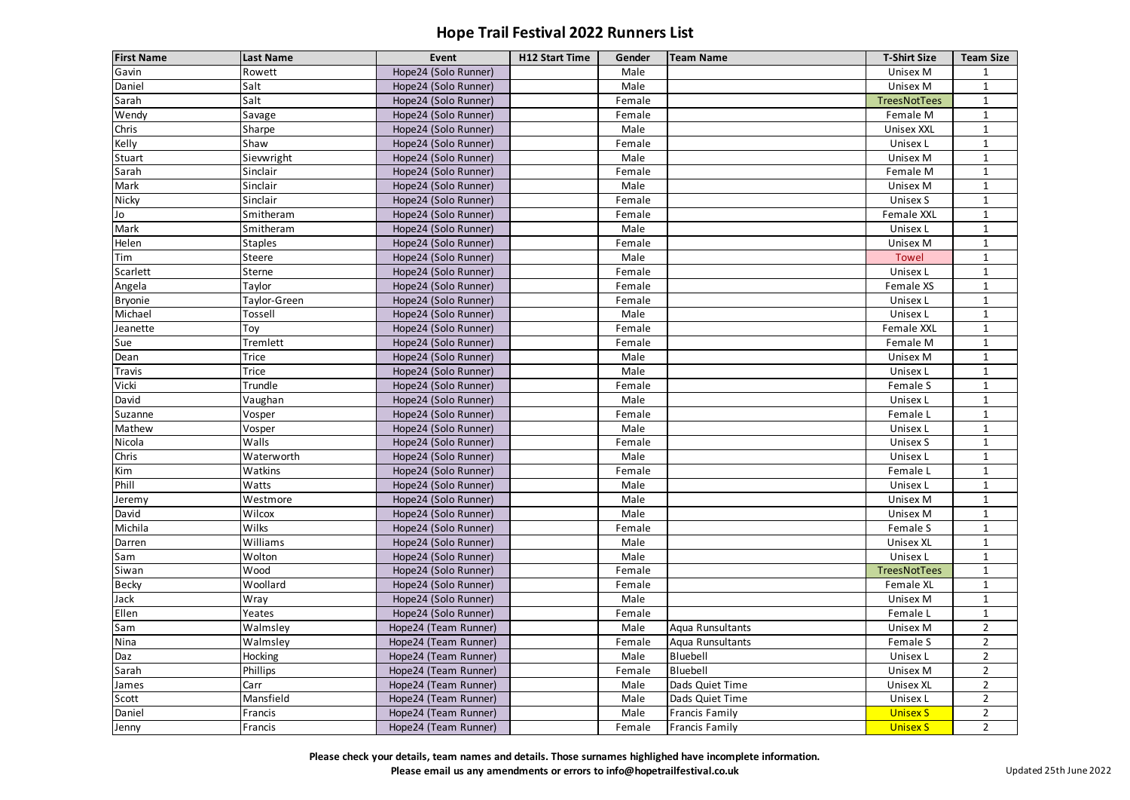| <b>First Name</b> | <b>Last Name</b> | Event                | <b>H12 Start Time</b> | Gender | <b>Team Name</b>      | <b>T-Shirt Size</b> | <b>Team Size</b> |
|-------------------|------------------|----------------------|-----------------------|--------|-----------------------|---------------------|------------------|
| Gavin             | Rowett           | Hope24 (Solo Runner) |                       | Male   |                       | Unisex M            | 1                |
| Daniel            | Salt             | Hope24 (Solo Runner) |                       | Male   |                       | Unisex M            | $\mathbf{1}$     |
| Sarah             | Salt             | Hope24 (Solo Runner) |                       | Female |                       | <b>TreesNotTees</b> | $\mathbf{1}$     |
| Wendy             | Savage           | Hope24 (Solo Runner) |                       | Female |                       | Female M            | 1                |
| Chris             | Sharpe           | Hope24 (Solo Runner) |                       | Male   |                       | <b>Unisex XXL</b>   | $\mathbf{1}$     |
| Kelly             | Shaw             | Hope24 (Solo Runner) |                       | Female |                       | Unisex L            | $\mathbf{1}$     |
| Stuart            | Sievwright       | Hope24 (Solo Runner) |                       | Male   |                       | Unisex M            | $\mathbf{1}$     |
| Sarah             | Sinclair         | Hope24 (Solo Runner) |                       | Female |                       | Female M            | 1                |
| Mark              | Sinclair         | Hope24 (Solo Runner) |                       | Male   |                       | <b>Unisex M</b>     | $\mathbf{1}$     |
| Nicky             | Sinclair         | Hope24 (Solo Runner) |                       | Female |                       | Unisex S            | 1                |
| Jo                | Smitheram        | Hope24 (Solo Runner) |                       | Female |                       | Female XXL          | $\mathbf{1}$     |
| Mark              | Smitheram        | Hope24 (Solo Runner) |                       | Male   |                       | Unisex L            | 1                |
| Helen             | <b>Staples</b>   | Hope24 (Solo Runner) |                       | Female |                       | Unisex M            | $\mathbf{1}$     |
| Tim               | Steere           | Hope24 (Solo Runner) |                       | Male   |                       | <b>Towel</b>        | 1                |
| Scarlett          | Sterne           | Hope24 (Solo Runner) |                       | Female |                       | Unisex L            | 1                |
| Angela            | Taylor           | Hope24 (Solo Runner) |                       | Female |                       | Female XS           | 1                |
| <b>Bryonie</b>    | Taylor-Green     | Hope24 (Solo Runner) |                       | Female |                       | Unisex L            | $\mathbf{1}$     |
| Michael           | Tossell          | Hope24 (Solo Runner) |                       | Male   |                       | Unisex L            | 1                |
| Jeanette          | Toy              | Hope24 (Solo Runner) |                       | Female |                       | Female XXL          | 1                |
| Sue               | Tremlett         | Hope24 (Solo Runner) |                       | Female |                       | Female M            | 1                |
| Dean              | <b>Trice</b>     | Hope24 (Solo Runner) |                       | Male   |                       | <b>Unisex M</b>     | $\mathbf{1}$     |
| Travis            | <b>Trice</b>     | Hope24 (Solo Runner) |                       | Male   |                       | Unisex L            | 1                |
| Vicki             | Trundle          | Hope24 (Solo Runner) |                       | Female |                       | Female S            | 1                |
| David             | Vaughan          | Hope24 (Solo Runner) |                       | Male   |                       | Unisex L            | $\mathbf{1}$     |
| Suzanne           | Vosper           | Hope24 (Solo Runner) |                       | Female |                       | Female L            | $\mathbf{1}$     |
| Mathew            | Vosper           | Hope24 (Solo Runner) |                       | Male   |                       | Unisex L            | $\mathbf{1}$     |
| Nicola            | Walls            | Hope24 (Solo Runner) |                       | Female |                       | <b>Unisex S</b>     | $\mathbf{1}$     |
| Chris             | Waterworth       | Hope24 (Solo Runner) |                       | Male   |                       | Unisex L            | 1                |
| Kim               | Watkins          | Hope24 (Solo Runner) |                       | Female |                       | Female L            |                  |
| Phill             | Watts            | Hope24 (Solo Runner) |                       | Male   |                       | Unisex L            | $\mathbf{1}$     |
| Jeremy            | Westmore         | Hope24 (Solo Runner) |                       | Male   |                       | <b>Unisex M</b>     | $\mathbf{1}$     |
| David             | Wilcox           | Hope24 (Solo Runner) |                       | Male   |                       | Unisex M            | $\mathbf{1}$     |
| Michila           | Wilks            | Hope24 (Solo Runner) |                       | Female |                       | Female S            | $\mathbf{1}$     |
| Darren            | Williams         | Hope24 (Solo Runner) |                       | Male   |                       | <b>Unisex XL</b>    |                  |
| Sam               | Wolton           | Hope24 (Solo Runner) |                       | Male   |                       | Unisex L            | $\mathbf{1}$     |
| Siwan             | Wood             | Hope24 (Solo Runner) |                       | Female |                       | TreesNotTees        | $\mathbf{1}$     |
| <b>Becky</b>      | Woollard         | Hope24 (Solo Runner) |                       | Female |                       | Female XL           | $\mathbf{1}$     |
| Jack              | Wray             | Hope24 (Solo Runner) |                       | Male   |                       | Unisex M            |                  |
| Ellen             | Yeates           | Hope24 (Solo Runner) |                       | Female |                       | Female L            | $\mathbf{1}$     |
| Sam               | Walmsley         | Hope24 (Team Runner) |                       | Male   | Aqua Runsultants      | Unisex M            | $2^{\circ}$      |
| Nina              | Walmsley         | Hope24 (Team Runner) |                       | Female | Aqua Runsultants      | Female S            | $2^{\circ}$      |
| Daz               | Hocking          | Hope24 (Team Runner) |                       | Male   | Bluebell              | Unisex L            | $2^{\circ}$      |
| Sarah             | Phillips         | Hope24 (Team Runner) |                       | Female | Bluebell              | <b>Unisex M</b>     | $2^{\circ}$      |
| James             | Carr             | Hope24 (Team Runner) |                       | Male   | Dads Quiet Time       | <b>Unisex XL</b>    | $2^{\circ}$      |
| Scott             | Mansfield        | Hope24 (Team Runner) |                       | Male   | Dads Quiet Time       | Unisex L            | $2^{\circ}$      |
| Daniel            | Francis          | Hope24 (Team Runner) |                       | Male   | <b>Francis Family</b> | <b>Unisex S</b>     | $2^{\circ}$      |
| Jenny             | Francis          | Hope24 (Team Runner) |                       | Female | Francis Family        | <b>Unisex S</b>     | $2^{\circ}$      |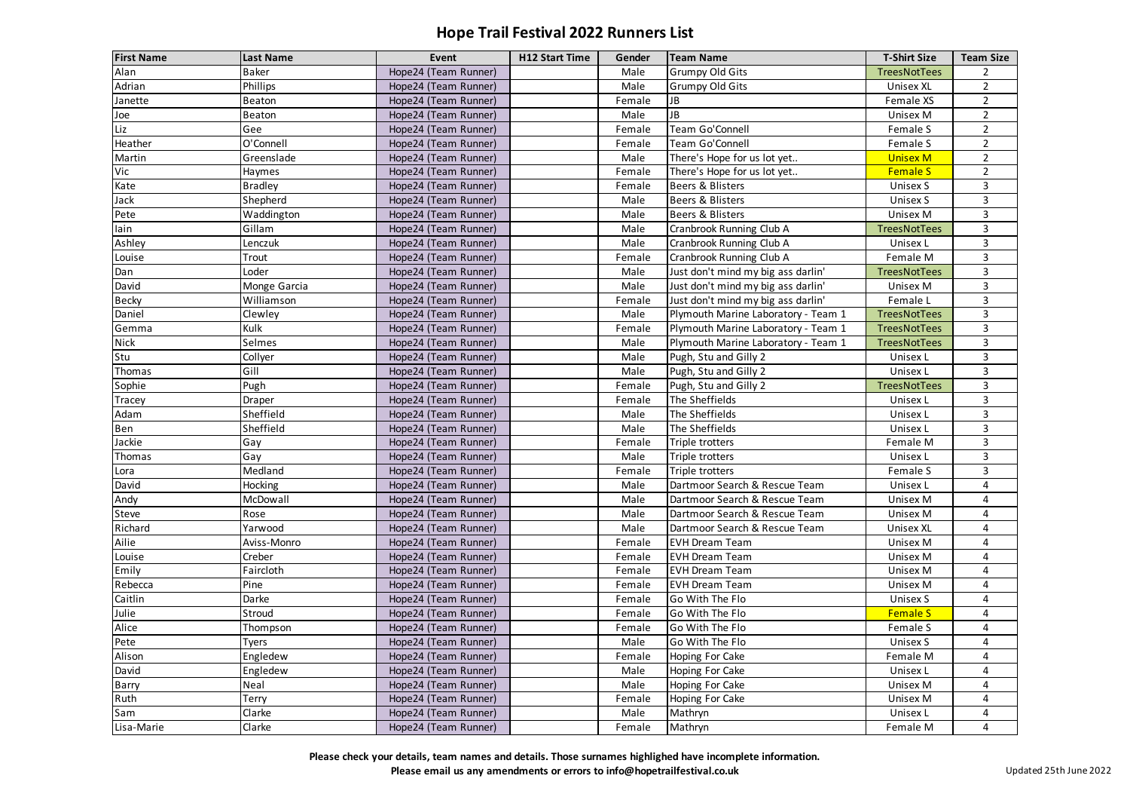| <b>First Name</b> | <b>Last Name</b> | Event                | <b>H12 Start Time</b> | Gender | <b>Team Name</b>                    | <b>T-Shirt Size</b> | <b>Team Size</b> |
|-------------------|------------------|----------------------|-----------------------|--------|-------------------------------------|---------------------|------------------|
| Alan              | <b>Baker</b>     | Hope24 (Team Runner) |                       | Male   | <b>Grumpy Old Gits</b>              | <b>TreesNotTees</b> | $\overline{2}$   |
| Adrian            | Phillips         | Hope24 (Team Runner) |                       | Male   | <b>Grumpy Old Gits</b>              | <b>Unisex XL</b>    | $2^{\circ}$      |
| Janette           | Beaton           | Hope24 (Team Runner) |                       | Female | JB                                  | Female XS           | $\overline{2}$   |
| Joe               | Beaton           | Hope24 (Team Runner) |                       | Male   | JB                                  | Unisex M            | $2^{\circ}$      |
| Liz               | Gee              | Hope24 (Team Runner) |                       | Female | Team Go'Connell                     | Female S            | $\overline{2}$   |
| Heather           | O'Connell        | Hope24 (Team Runner) |                       | Female | Team Go'Connell                     | Female S            | $2^{\circ}$      |
| Martin            | Greenslade       | Hope24 (Team Runner) |                       | Male   | There's Hope for us lot yet         | <b>Unisex M</b>     | $\overline{2}$   |
| Vic               | Haymes           | Hope24 (Team Runner) |                       | Female | There's Hope for us lot yet         | <b>Female S</b>     | $\overline{2}$   |
| Kate              | <b>Bradley</b>   | Hope24 (Team Runner) |                       | Female | Beers & Blisters                    | Unisex S            | $\overline{3}$   |
| Jack              | Shepherd         | Hope24 (Team Runner) |                       | Male   | Beers & Blisters                    | Unisex S            | $\overline{3}$   |
| Pete              | Waddington       | Hope24 (Team Runner) |                       | Male   | Beers & Blisters                    | Unisex M            | 3                |
| lain              | Gillam           | Hope24 (Team Runner) |                       | Male   | Cranbrook Running Club A            | <b>TreesNotTees</b> | $\overline{3}$   |
| Ashley            | Lenczuk          | Hope24 (Team Runner) |                       | Male   | Cranbrook Running Club A            | Unisex L            | $\mathbf{3}$     |
| Louise            | Trout            | Hope24 (Team Runner) |                       | Female | Cranbrook Running Club A            | Female M            | $\overline{3}$   |
| Dan               | Loder            | Hope24 (Team Runner) |                       | Male   | Just don't mind my big ass darlin'  | <b>TreesNotTees</b> | $\overline{3}$   |
| David             | Monge Garcia     | Hope24 (Team Runner) |                       | Male   | Just don't mind my big ass darlin'  | Unisex M            | $\overline{3}$   |
| <b>Becky</b>      | Williamson       | Hope24 (Team Runner) |                       | Female | Just don't mind my big ass darlin'  | Female L            | $\mathbf{3}$     |
| Daniel            | Clewley          | Hope24 (Team Runner) |                       | Male   | Plymouth Marine Laboratory - Team 1 | <b>TreesNotTees</b> | $\overline{3}$   |
| Gemma             | Kulk             | Hope24 (Team Runner) |                       | Female | Plymouth Marine Laboratory - Team 1 | <b>TreesNotTees</b> | $\mathbf{3}$     |
| <b>Nick</b>       | Selmes           | Hope24 (Team Runner) |                       | Male   | Plymouth Marine Laboratory - Team 1 | <b>TreesNotTees</b> | $\overline{3}$   |
| Stu               | Collyer          | Hope24 (Team Runner) |                       | Male   | Pugh, Stu and Gilly 2               | Unisex L            | $\mathbf{3}$     |
| <b>Thomas</b>     | Gill             | Hope24 (Team Runner) |                       | Male   | Pugh, Stu and Gilly 2               | Unisex L            | $\overline{3}$   |
| Sophie            | Pugh             | Hope24 (Team Runner) |                       | Female | Pugh, Stu and Gilly 2               | <b>TreesNotTees</b> | $\mathbf{3}$     |
| Tracey            | Draper           | Hope24 (Team Runner) |                       | Female | The Sheffields                      | Unisex L            | $\overline{3}$   |
| Adam              | Sheffield        | Hope24 (Team Runner) |                       | Male   | The Sheffields                      | Unisex L            | $\mathbf{3}$     |
| Ben               | Sheffield        | Hope24 (Team Runner) |                       | Male   | The Sheffields                      | Unisex L            | $\overline{3}$   |
| Jackie            | Gay              | Hope24 (Team Runner) |                       | Female | Triple trotters                     | Female M            | $\mathbf{3}$     |
| Thomas            | Gay              | Hope24 (Team Runner) |                       | Male   | Triple trotters                     | Unisex L            | 3                |
| Lora              | Medland          | Hope24 (Team Runner) |                       | Female | Triple trotters                     | Female S            | 3                |
| David             | Hocking          | Hope24 (Team Runner) |                       | Male   | Dartmoor Search & Rescue Team       | Unisex L            | 4                |
| Andy              | McDowall         | Hope24 (Team Runner) |                       | Male   | Dartmoor Search & Rescue Team       | Unisex M            | 4                |
| Steve             | Rose             | Hope24 (Team Runner) |                       | Male   | Dartmoor Search & Rescue Team       | Unisex M            | 4                |
| Richard           | Yarwood          | Hope24 (Team Runner) |                       | Male   | Dartmoor Search & Rescue Team       | <b>Unisex XL</b>    | 4                |
| Ailie             | Aviss-Monro      | Hope24 (Team Runner) |                       | Female | <b>EVH Dream Team</b>               | Unisex M            | 4                |
| Louise            | Creber           | Hope24 (Team Runner) |                       | Female | <b>EVH Dream Team</b>               | Unisex M            | 4                |
| Emily             | Faircloth        | Hope24 (Team Runner) |                       | Female | <b>EVH Dream Team</b>               | Unisex M            | 4                |
| Rebecca           | Pine             | Hope24 (Team Runner) |                       | Female | <b>EVH Dream Team</b>               | Unisex M            | 4                |
| Caitlin           | Darke            | Hope24 (Team Runner) |                       | Female | Go With The Flo                     | Unisex S            | 4                |
| Julie             | Stroud           | Hope24 (Team Runner) |                       | Female | Go With The Flo                     | <b>Female S</b>     | 4                |
| Alice             | Thompson         | Hope24 (Team Runner) |                       | Female | Go With The Flo                     | Female S            | 4                |
| Pete              | Tyers            | Hope24 (Team Runner) |                       | Male   | Go With The Flo                     | Unisex S            | 4                |
| Alison            | Engledew         | Hope24 (Team Runner) |                       | Female | Hoping For Cake                     | Female M            | 4                |
| David             | Engledew         | Hope24 (Team Runner) |                       | Male   | Hoping For Cake                     | Unisex L            | 4                |
| Barry             | Neal             | Hope24 (Team Runner) |                       | Male   | Hoping For Cake                     | Unisex M            | 4                |
| Ruth              | Terry            | Hope24 (Team Runner) |                       | Female | Hoping For Cake                     | Unisex M            | 4                |
| Sam               | Clarke           | Hope24 (Team Runner) |                       | Male   | Mathryn                             | Unisex L            | 4                |
| Lisa-Marie        | Clarke           | Hope24 (Team Runner) |                       | Female | Mathryn                             | Female M            | 4                |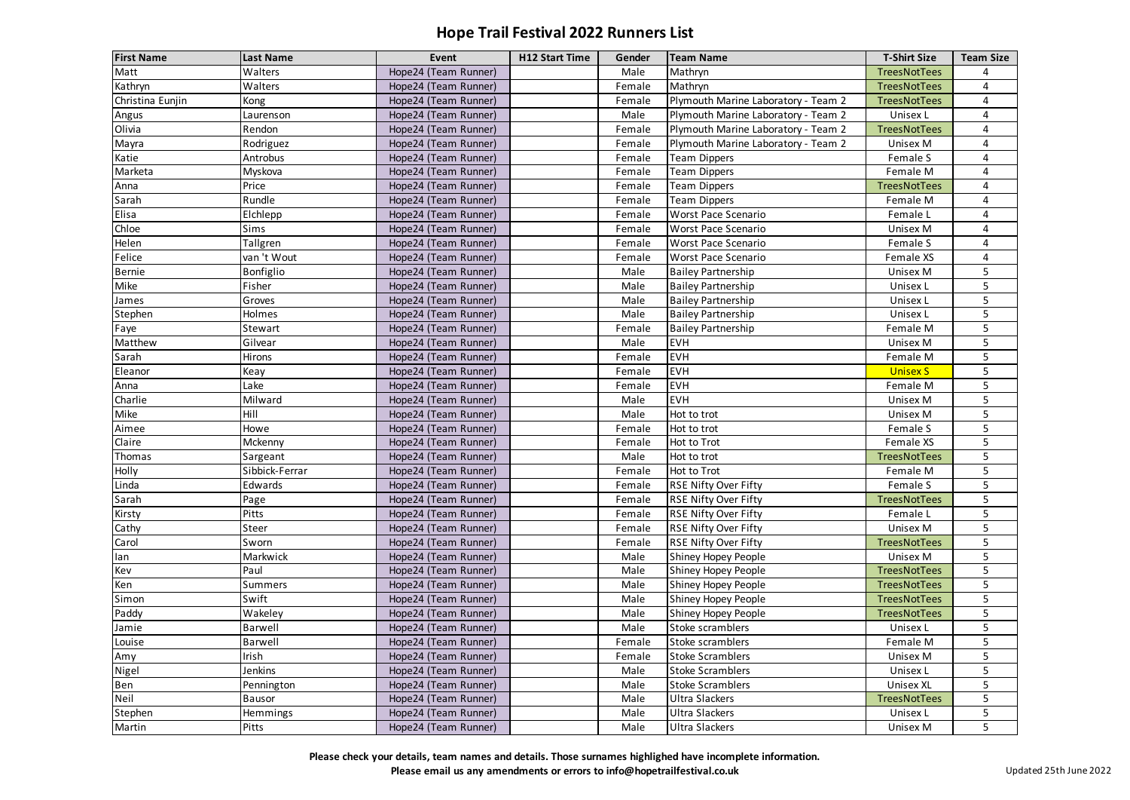| <b>First Name</b> | <b>Last Name</b> | <b>Event</b>         | <b>H12 Start Time</b> | Gender | <b>Team Name</b>                    | <b>T-Shirt Size</b> | <b>Team Size</b> |
|-------------------|------------------|----------------------|-----------------------|--------|-------------------------------------|---------------------|------------------|
| Matt              | Walters          | Hope24 (Team Runner) |                       | Male   | Mathryn                             | <b>TreesNotTees</b> | 4                |
| Kathryn           | Walters          | Hope24 (Team Runner) |                       | Female | Mathryn                             | <b>TreesNotTees</b> | 4                |
| Christina Eunjin  | Kong             | Hope24 (Team Runner) |                       | Female | Plymouth Marine Laboratory - Team 2 | <b>TreesNotTees</b> | 4                |
| Angus             | Laurenson        | Hope24 (Team Runner) |                       | Male   | Plymouth Marine Laboratory - Team 2 | Unisex L            | 4                |
| Olivia            | Rendon           | Hope24 (Team Runner) |                       | Female | Plymouth Marine Laboratory - Team 2 | <b>TreesNotTees</b> | 4                |
| Mayra             | Rodriguez        | Hope24 (Team Runner) |                       | Female | Plymouth Marine Laboratory - Team 2 | Unisex M            | 4                |
| Katie             | Antrobus         | Hope24 (Team Runner) |                       | Female | Team Dippers                        | Female S            | 4                |
| Marketa           | Myskova          | Hope24 (Team Runner) |                       | Female | Team Dippers                        | Female M            | 4                |
| Anna              | Price            | Hope24 (Team Runner) |                       | Female | Team Dippers                        | TreesNotTees        | 4                |
| Sarah             | Rundle           | Hope24 (Team Runner) |                       | Female | <b>Team Dippers</b>                 | Female M            | 4                |
| Elisa             | Elchlepp         | Hope24 (Team Runner) |                       | Female | <b>Worst Pace Scenario</b>          | Female L            | 4                |
| Chloe             | Sims             | Hope24 (Team Runner) |                       | Female | Worst Pace Scenario                 | Unisex M            | 4                |
| Helen             | Tallgren         | Hope24 (Team Runner) |                       | Female | Worst Pace Scenario                 | Female S            | 4                |
| Felice            | van 't Wout      | Hope24 (Team Runner) |                       | Female | Worst Pace Scenario                 | Female XS           | 4                |
| Bernie            | Bonfiglio        | Hope24 (Team Runner) |                       | Male   | <b>Bailey Partnership</b>           | Unisex M            | 5                |
| Mike              | Fisher           | Hope24 (Team Runner) |                       | Male   | <b>Bailey Partnership</b>           | Unisex L            | 5                |
| James             | Groves           | Hope24 (Team Runner) |                       | Male   | <b>Bailey Partnership</b>           | Unisex L            | 5                |
| Stephen           | Holmes           | Hope24 (Team Runner) |                       | Male   | <b>Bailey Partnership</b>           | Unisex L            | 5                |
| Faye              | Stewart          | Hope24 (Team Runner) |                       | Female | <b>Bailey Partnership</b>           | Female M            | 5                |
| Matthew           | Gilvear          | Hope24 (Team Runner) |                       | Male   | <b>EVH</b>                          | Unisex M            | 5                |
| Sarah             | <b>Hirons</b>    | Hope24 (Team Runner) |                       | Female | <b>EVH</b>                          | Female M            | 5                |
| Eleanor           | Keay             | Hope24 (Team Runner) |                       | Female | <b>EVH</b>                          | <b>Unisex S</b>     | 5                |
| Anna              | Lake             | Hope24 (Team Runner) |                       | Female | <b>EVH</b>                          | Female M            | 5                |
| Charlie           | Milward          | Hope24 (Team Runner) |                       | Male   | <b>EVH</b>                          | Unisex M            | 5                |
| Mike              | Hill             | Hope24 (Team Runner) |                       | Male   | Hot to trot                         | Unisex M            | 5                |
| Aimee             | Howe             | Hope24 (Team Runner) |                       | Female | Hot to trot                         | Female S            | 5                |
| Claire            | Mckenny          | Hope24 (Team Runner) |                       | Female | Hot to Trot                         | Female XS           | 5                |
| Thomas            | Sargeant         | Hope24 (Team Runner) |                       | Male   | Hot to trot                         | <b>TreesNotTees</b> | 5                |
| Holly             | Sibbick-Ferrar   | Hope24 (Team Runner) |                       | Female | Hot to Trot                         | Female M            | 5                |
| Linda             | Edwards          | Hope24 (Team Runner) |                       | Female | <b>RSE Nifty Over Fifty</b>         | Female S            | 5                |
| Sarah             | Page             | Hope24 (Team Runner) |                       | Female | <b>RSE Nifty Over Fifty</b>         | TreesNotTees        | 5                |
| Kirsty            | Pitts            | Hope24 (Team Runner) |                       | Female | <b>RSE Nifty Over Fifty</b>         | Female L            | 5                |
| Cathy             | Steer            | Hope24 (Team Runner) |                       | Female | <b>RSE Nifty Over Fifty</b>         | Unisex M            | 5                |
| Carol             | Sworn            | Hope24 (Team Runner) |                       | Female | <b>RSE Nifty Over Fifty</b>         | <b>TreesNotTees</b> | 5                |
| lan               | Markwick         | Hope24 (Team Runner) |                       | Male   | Shiney Hopey People                 | Unisex M            | 5                |
| Kev               | Paul             | Hope24 (Team Runner) |                       | Male   | Shiney Hopey People                 | <b>TreesNotTees</b> | 5                |
| Ken               | Summers          | Hope24 (Team Runner) |                       | Male   | Shiney Hopey People                 | TreesNotTees        | 5                |
| Simon             | Swift            | Hope24 (Team Runner) |                       | Male   | Shiney Hopey People                 | <b>TreesNotTees</b> | 5                |
| Paddy             | Wakeley          | Hope24 (Team Runner) |                       | Male   | Shiney Hopey People                 | <b>TreesNotTees</b> | 5                |
| Jamie             | Barwell          | Hope24 (Team Runner) |                       | Male   | Stoke scramblers                    | Unisex L            | 5                |
| Louise            | Barwell          | Hope24 (Team Runner) |                       | Female | Stoke scramblers                    | Female M            | 5                |
| Amy               | Irish            | Hope24 (Team Runner) |                       | Female | <b>Stoke Scramblers</b>             | Unisex M            | 5                |
| Nigel             | Jenkins          | Hope24 (Team Runner) |                       | Male   | <b>Stoke Scramblers</b>             | Unisex L            | 5                |
| Ben               | Pennington       | Hope24 (Team Runner) |                       | Male   | <b>Stoke Scramblers</b>             | <b>Unisex XL</b>    | 5                |
| Neil              | Bausor           | Hope24 (Team Runner) |                       | Male   | <b>Ultra Slackers</b>               | TreesNotTees        | 5                |
| Stephen           | Hemmings         | Hope24 (Team Runner) |                       | Male   | <b>Ultra Slackers</b>               | Unisex L            | 5                |
| Martin            | Pitts            | Hope24 (Team Runner) |                       | Male   | Ultra Slackers                      | Unisex M            | 5                |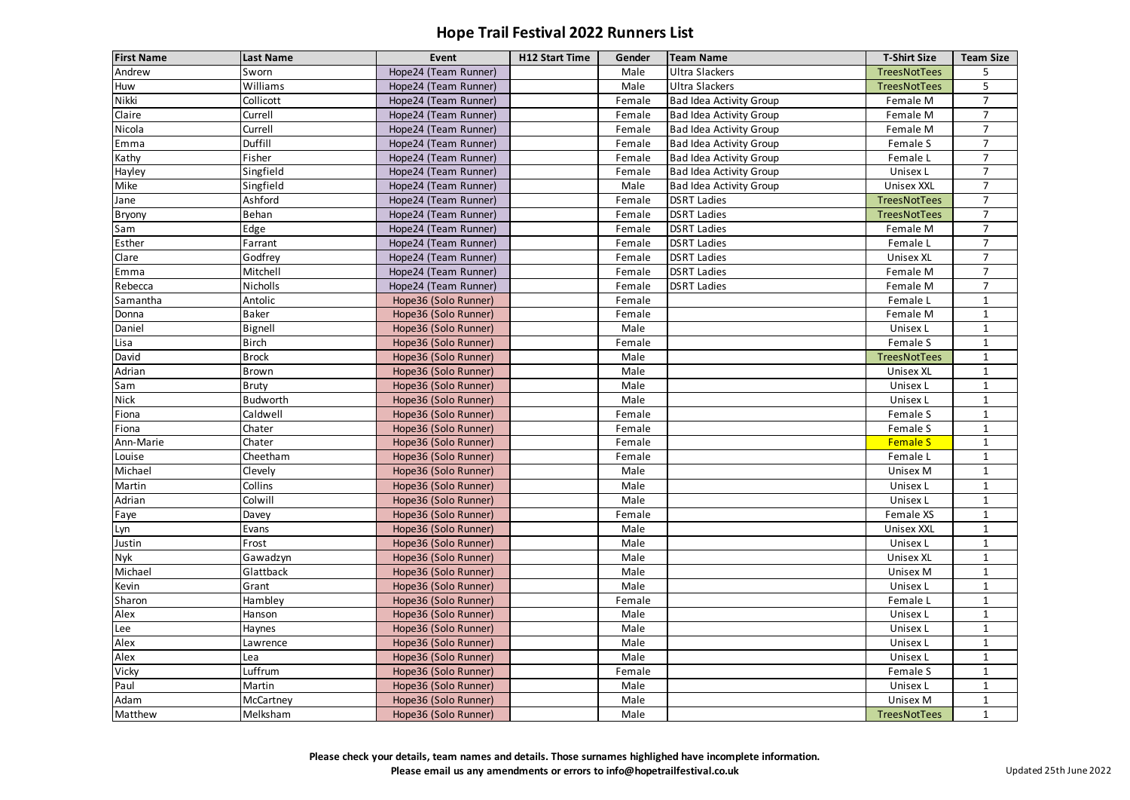| <b>First Name</b> | <b>Last Name</b> | Event                | <b>H12 Start Time</b> | Gender | <b>Team Name</b>               | <b>T-Shirt Size</b> | <b>Team Size</b> |
|-------------------|------------------|----------------------|-----------------------|--------|--------------------------------|---------------------|------------------|
| Andrew            | Sworn            | Hope24 (Team Runner) |                       | Male   | <b>Ultra Slackers</b>          | TreesNotTees        | 5                |
| Huw               | Williams         | Hope24 (Team Runner) |                       | Male   | <b>Ultra Slackers</b>          | TreesNotTees        | 5                |
| Nikki             | Collicott        | Hope24 (Team Runner) |                       | Female | <b>Bad Idea Activity Group</b> | Female M            | $7^{\circ}$      |
| Claire            | Currell          | Hope24 (Team Runner) |                       | Female | <b>Bad Idea Activity Group</b> | Female M            | $\overline{7}$   |
| Nicola            | Currell          | Hope24 (Team Runner) |                       | Female | <b>Bad Idea Activity Group</b> | Female M            | $\overline{7}$   |
| Emma              | Duffill          | Hope24 (Team Runner) |                       | Female | <b>Bad Idea Activity Group</b> | Female S            | $\overline{7}$   |
| Kathy             | Fisher           | Hope24 (Team Runner) |                       | Female | <b>Bad Idea Activity Group</b> | Female L            | $\overline{7}$   |
| Hayley            | Singfield        | Hope24 (Team Runner) |                       | Female | <b>Bad Idea Activity Group</b> | Unisex L            | $\overline{7}$   |
| Mike              | Singfield        | Hope24 (Team Runner) |                       | Male   | <b>Bad Idea Activity Group</b> | <b>Unisex XXL</b>   | $\overline{7}$   |
| Jane              | Ashford          | Hope24 (Team Runner) |                       | Female | <b>DSRT Ladies</b>             | TreesNotTees        | $\overline{7}$   |
| <b>Bryony</b>     | Behan            | Hope24 (Team Runner) |                       | Female | <b>DSRT Ladies</b>             | TreesNotTees        | $\overline{7}$   |
| Sam               | Edge             | Hope24 (Team Runner) |                       | Female | <b>DSRT Ladies</b>             | Female M            | $\overline{7}$   |
| Esther            | Farrant          | Hope24 (Team Runner) |                       | Female | <b>DSRT Ladies</b>             | Female L            | $\overline{7}$   |
| Clare             | Godfrey          | Hope24 (Team Runner) |                       | Female | <b>DSRT Ladies</b>             | <b>Unisex XL</b>    | $\overline{7}$   |
| Emma              | Mitchell         | Hope24 (Team Runner) |                       | Female | <b>DSRT Ladies</b>             | Female M            | $\overline{7}$   |
| Rebecca           | Nicholls         | Hope24 (Team Runner) |                       | Female | <b>DSRT Ladies</b>             | Female M            | $\overline{7}$   |
| Samantha          | Antolic          | Hope36 (Solo Runner) |                       | Female |                                | Female L            | $\mathbf 1$      |
| Donna             | <b>Baker</b>     | Hope36 (Solo Runner) |                       | Female |                                | Female M            | 1                |
| Daniel            | Bignell          | Hope36 (Solo Runner) |                       | Male   |                                | Unisex L            | 1                |
| Lisa              | <b>Birch</b>     | Hope36 (Solo Runner) |                       | Female |                                | Female S            |                  |
| David             | <b>Brock</b>     | Hope36 (Solo Runner) |                       | Male   |                                | TreesNotTees        | $\mathbf 1$      |
| Adrian            | Brown            | Hope36 (Solo Runner) |                       | Male   |                                | <b>Unisex XL</b>    | 1                |
| Sam               | <b>Bruty</b>     | Hope36 (Solo Runner) |                       | Male   |                                | Unisex L            | 1                |
| <b>Nick</b>       | <b>Budworth</b>  | Hope36 (Solo Runner) |                       | Male   |                                | Unisex L            | $\mathbf{1}$     |
| Fiona             | Caldwell         | Hope36 (Solo Runner) |                       | Female |                                | Female S            | $\mathbf{1}$     |
| Fiona             | Chater           | Hope36 (Solo Runner) |                       | Female |                                | Female S            | $\mathbf{1}$     |
| Ann-Marie         | Chater           | Hope36 (Solo Runner) |                       | Female |                                | <b>Female S</b>     |                  |
| Louise            | Cheetham         | Hope36 (Solo Runner) |                       | Female |                                | Female L            | $\mathbf{1}$     |
| Michael           | Clevely          | Hope36 (Solo Runner) |                       | Male   |                                | Unisex M            |                  |
| Martin            | Collins          | Hope36 (Solo Runner) |                       | Male   |                                | Unisex L            | $\mathbf{1}$     |
| Adrian            | Colwill          | Hope36 (Solo Runner) |                       | Male   |                                | Unisex L            | $\mathbf{1}$     |
| Faye              | Davey            | Hope36 (Solo Runner) |                       | Female |                                | Female XS           | $\mathbf{1}$     |
| Lyn               | Evans            | Hope36 (Solo Runner) |                       | Male   |                                | <b>Unisex XXL</b>   | $\mathbf{1}$     |
| Justin            | Frost            | Hope36 (Solo Runner) |                       | Male   |                                | Unisex L            | $\mathbf{1}$     |
| <b>Nyk</b>        | Gawadzyn         | Hope36 (Solo Runner) |                       | Male   |                                | <b>Unisex XL</b>    | $\mathbf{1}$     |
| Michael           | Glattback        | Hope36 (Solo Runner) |                       | Male   |                                | Unisex M            | $\mathbf{1}$     |
| Kevin             | Grant            | Hope36 (Solo Runner) |                       | Male   |                                | Unisex L            | $\mathbf{1}$     |
| Sharon            | Hambley          | Hope36 (Solo Runner) |                       | Female |                                | Female L            | $\mathbf{1}$     |
| Alex              | Hanson           | Hope36 (Solo Runner) |                       | Male   |                                | Unisex L            | $\mathbf{1}$     |
| Lee               | Haynes           | Hope36 (Solo Runner) |                       | Male   |                                | Unisex L            | $\mathbf{1}$     |
| Alex              | Lawrence         | Hope36 (Solo Runner) |                       | Male   |                                | Unisex L            | 1                |
| Alex              | Lea              | Hope36 (Solo Runner) |                       | Male   |                                | Unisex L            | $\mathbf{1}$     |
| Vicky             | Luffrum          | Hope36 (Solo Runner) |                       | Female |                                | Female S            | $\mathbf{1}$     |
| Paul              | Martin           | Hope36 (Solo Runner) |                       | Male   |                                | Unisex L            | $\mathbf{1}$     |
| Adam              | McCartney        | Hope36 (Solo Runner) |                       | Male   |                                | Unisex M            | $\mathbf{1}$     |
| Matthew           | Melksham         | Hope36 (Solo Runner) |                       | Male   |                                | TreesNotTees        | $\mathbf{1}$     |